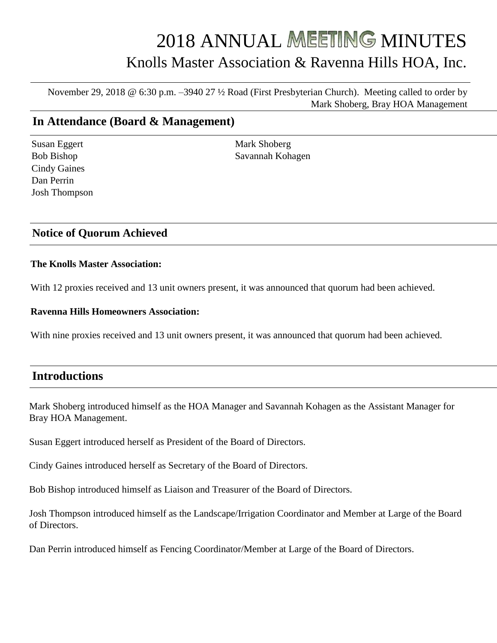# 2018 ANNUAL MEETING MINUTES Knolls Master Association & Ravenna Hills HOA, Inc.

November 29, 2018 @ 6:30 p.m. –3940 27 ½ Road (First Presbyterian Church). Meeting called to order by Mark Shoberg, Bray HOA Management

# **In Attendance (Board & Management)**

Susan Eggert Bob Bishop Cindy Gaines Dan Perrin Josh Thompson Mark Shoberg Savannah Kohagen

#### **Notice of Quorum Achieved**

#### **The Knolls Master Association:**

With 12 proxies received and 13 unit owners present, it was announced that quorum had been achieved.

#### **Ravenna Hills Homeowners Association:**

With nine proxies received and 13 unit owners present, it was announced that quorum had been achieved.

### **Introductions**

Mark Shoberg introduced himself as the HOA Manager and Savannah Kohagen as the Assistant Manager for Bray HOA Management.

Susan Eggert introduced herself as President of the Board of Directors.

Cindy Gaines introduced herself as Secretary of the Board of Directors.

Bob Bishop introduced himself as Liaison and Treasurer of the Board of Directors.

Josh Thompson introduced himself as the Landscape/Irrigation Coordinator and Member at Large of the Board of Directors.

Dan Perrin introduced himself as Fencing Coordinator/Member at Large of the Board of Directors.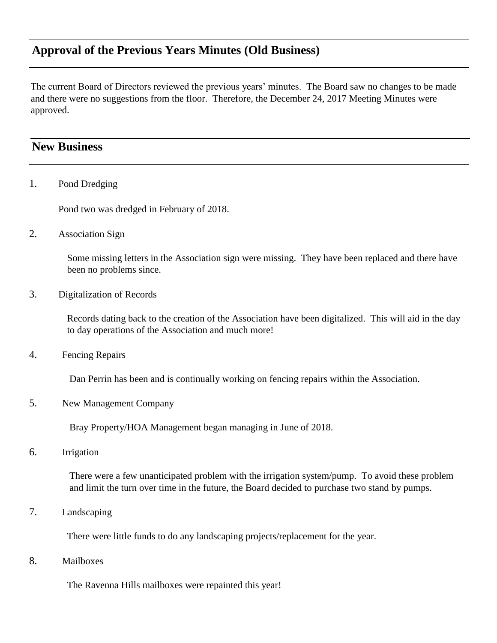# **Approval of the Previous Years Minutes (Old Business)**

The current Board of Directors reviewed the previous years' minutes. The Board saw no changes to be made and there were no suggestions from the floor. Therefore, the December 24, 2017 Meeting Minutes were approved.

## **New Business**

1. Pond Dredging

Pond two was dredged in February of 2018.

2. Association Sign

Some missing letters in the Association sign were missing. They have been replaced and there have been no problems since.

3. Digitalization of Records

Records dating back to the creation of the Association have been digitalized. This will aid in the day to day operations of the Association and much more!

4. Fencing Repairs

Dan Perrin has been and is continually working on fencing repairs within the Association.

5. New Management Company

Bray Property/HOA Management began managing in June of 2018.

6. Irrigation

There were a few unanticipated problem with the irrigation system/pump. To avoid these problem and limit the turn over time in the future, the Board decided to purchase two stand by pumps.

7. Landscaping

There were little funds to do any landscaping projects/replacement for the year.

8. Mailboxes

The Ravenna Hills mailboxes were repainted this year!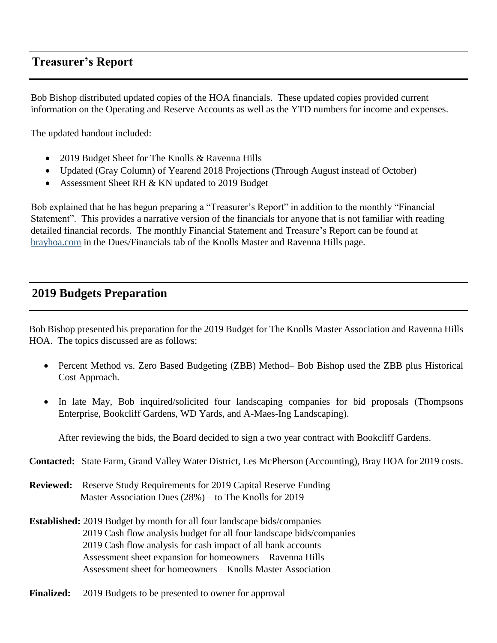# **Treasurer's Report**

Bob Bishop distributed updated copies of the HOA financials. These updated copies provided current information on the Operating and Reserve Accounts as well as the YTD numbers for income and expenses.

The updated handout included:

- 2019 Budget Sheet for The Knolls & Ravenna Hills
- Updated (Gray Column) of Yearend 2018 Projections (Through August instead of October)
- Assessment Sheet RH & KN updated to 2019 Budget

Bob explained that he has begun preparing a "Treasurer's Report" in addition to the monthly "Financial Statement". This provides a narrative version of the financials for anyone that is not familiar with reading detailed financial records. The monthly Financial Statement and Treasure's Report can be found at brayhoa.com in the Dues/Financials tab of the Knolls Master and Ravenna Hills page.

## **2019 Budgets Preparation**

Bob Bishop presented his preparation for the 2019 Budget for The Knolls Master Association and Ravenna Hills HOA. The topics discussed are as follows:

- Percent Method vs. Zero Based Budgeting (ZBB) Method– Bob Bishop used the ZBB plus Historical Cost Approach.
- In late May, Bob inquired/solicited four landscaping companies for bid proposals (Thompsons Enterprise, Bookcliff Gardens, WD Yards, and A-Maes-Ing Landscaping).

After reviewing the bids, the Board decided to sign a two year contract with Bookcliff Gardens.

**Contacted:** State Farm, Grand Valley Water District, Les McPherson (Accounting), Bray HOA for 2019 costs.

**Reviewed:** Reserve Study Requirements for 2019 Capital Reserve Funding Master Association Dues (28%) – to The Knolls for 2019

**Established:** 2019 Budget by month for all four landscape bids/companies 2019 Cash flow analysis budget for all four landscape bids/companies 2019 Cash flow analysis for cash impact of all bank accounts Assessment sheet expansion for homeowners – Ravenna Hills Assessment sheet for homeowners – Knolls Master Association

**Finalized:** 2019 Budgets to be presented to owner for approval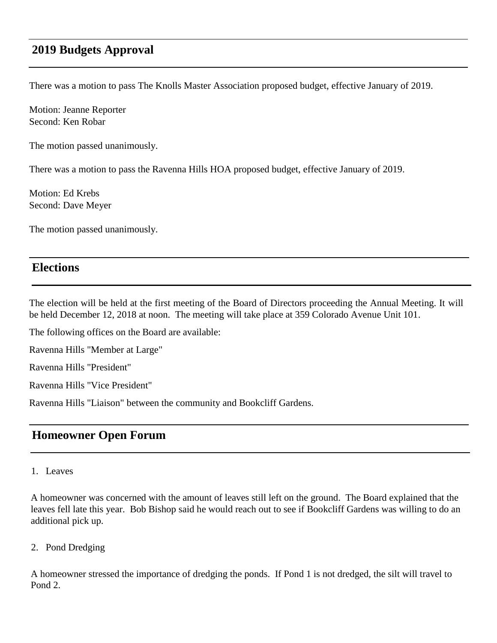# **2019 Budgets Approval**

There was a motion to pass The Knolls Master Association proposed budget, effective January of 2019.

Motion: Jeanne Reporter Second: Ken Robar

The motion passed unanimously.

There was a motion to pass the Ravenna Hills HOA proposed budget, effective January of 2019.

Motion: Ed Krebs Second: Dave Meyer

The motion passed unanimously.

#### **Elections**

The election will be held at the first meeting of the Board of Directors proceeding the Annual Meeting. It will be held December 12, 2018 at noon. The meeting will take place at 359 Colorado Avenue Unit 101.

The following offices on the Board are available:

Ravenna Hills "Member at Large"

Ravenna Hills "President"

Ravenna Hills "Vice President"

Ravenna Hills "Liaison" between the community and Bookcliff Gardens.

## **Homeowner Open Forum**

#### 1. Leaves

A homeowner was concerned with the amount of leaves still left on the ground. The Board explained that the leaves fell late this year. Bob Bishop said he would reach out to see if Bookcliff Gardens was willing to do an additional pick up.

2. Pond Dredging

A homeowner stressed the importance of dredging the ponds. If Pond 1 is not dredged, the silt will travel to Pond 2.